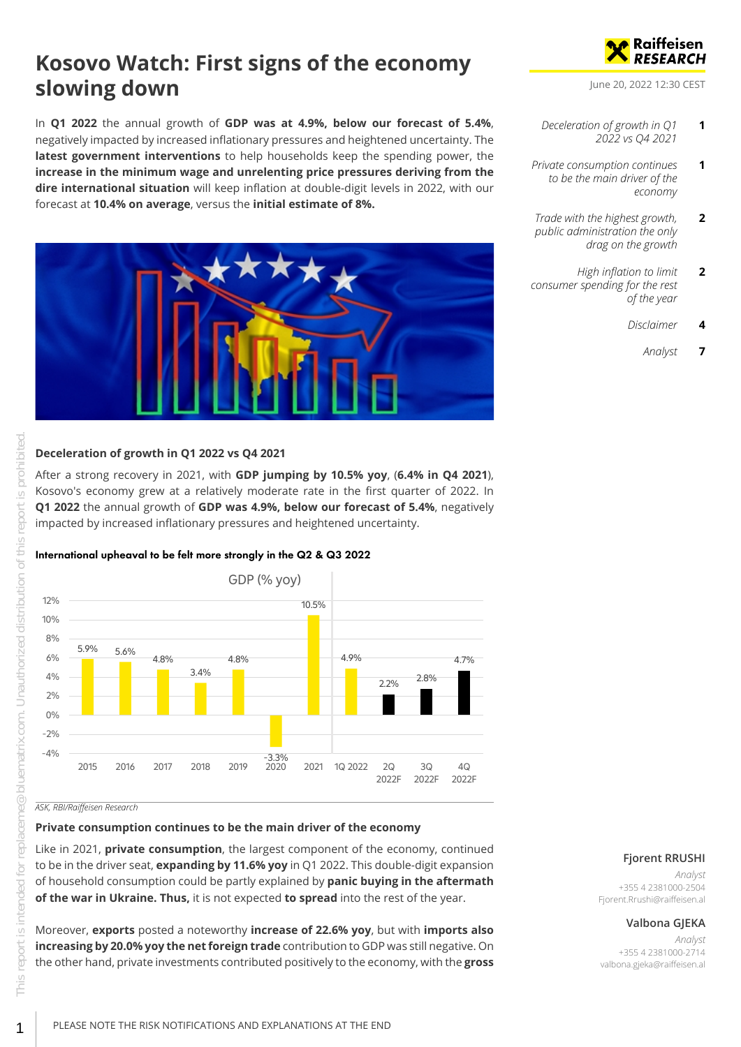# **Kosovo Watch: First signs of the economy slowing down**

In **Q1 2022** the annual growth of **GDP was at 4.9%, below our forecast of 5.4%**, negatively impacted by increased inflationary pressures and heightened uncertainty. The **latest government interventions** to help households keep the spending power, the **increase in the minimum wage and unrelenting price pressures deriving from the dire international situation** will keep inflation at double-digit levels in 2022, with our forecast at **10.4% on average**, versus the **initial estimate of 8%.**



#### <span id="page-0-0"></span>**Deceleration of growth in Q1 2022 vs Q4 2021**

After a strong recovery in 2021, with **GDP jumping by 10.5% yoy**, (**6.4% in Q4 2021**), Kosovo's economy grew at a relatively moderate rate in the first quarter of 2022. In **Q1 2022** the annual growth of **GDP was 4.9%, below our forecast of 5.4%**, negatively impacted by increased inflationary pressures and heightened uncertainty.

#### International upheaval to be felt more strongly in the Q2 & Q3 2022



#### *ASK, RBI/Raiffeisen Research*

#### <span id="page-0-1"></span>**Private consumption continues to be the main driver of the economy**

Like in 2021, **private consumption**, the largest component of the economy, continued to be in the driver seat, **expanding by 11.6% yoy** in Q1 2022. This double-digit expansion of household consumption could be partly explained by **panic buying in the aftermath of the war in Ukraine. Thus,** it is not expected **to spread** into the rest of the year.

Moreover, **exports** posted a noteworthy **increase of 22.6% yoy**, but with **imports also increasing by 20.0% yoy the net foreign trade** contribution to GDP was still negative. On the other hand, private investments contributed positively to the economy, with the **gross**



June 20, 2022 12:30 CEST

- *[Deceleration of growth in Q1](#page-0-0) [2022 vs Q4 2021](#page-0-0)* **1**
- *[Private consumption continues](#page-0-1) [to be the main driver of the](#page-0-1) [economy](#page-0-1)* **1**
- *[Trade with the highest growth,](#page-1-0) [public administration the only](#page-1-0) [drag on the growth](#page-1-0)* **2**
- *[High inflation to limit](#page-1-1) [consumer spending for the rest](#page-1-1) [of the year](#page-1-1)* **2**
	- *[Disclaimer](#page-3-0)* **4**
		- *[Analyst](#page-6-0)* **7**

#### **Fjorent RRUSHI**

*Analyst* +355 4 2381000-2504 Fjorent.Rrushi@raiffeisen.al

#### **Valbona GJEKA**

*Analyst* +355 4 2381000-2714 valbona.gjeka@raiffeisen.al

red<br>1

# PLEASE NOTE THE RISK NOTIFICATIONS AND EXPLANATIONS AT THE END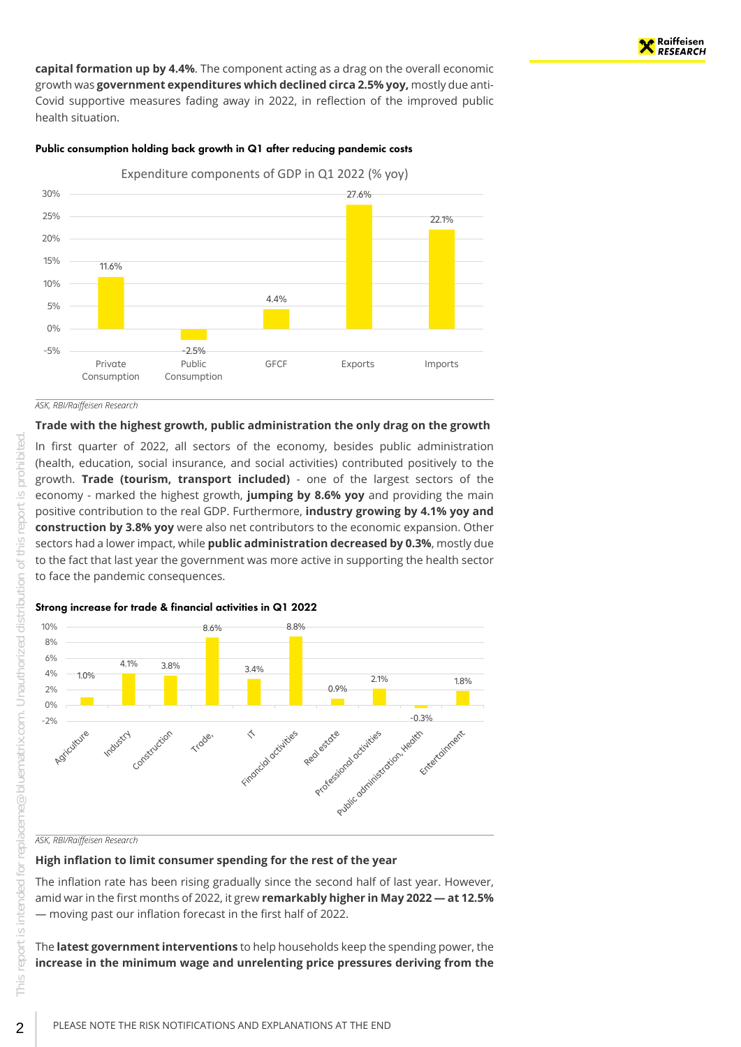**capital formation up by 4.4%**. The component acting as a drag on the overall economic growth was **government expenditures which declined circa 2.5% yoy,** mostly due anti-Covid supportive measures fading away in 2022, in reflection of the improved public health situation.

#### Public consumption holding back growth in Q1 after reducing pandemic costs



#### <span id="page-1-0"></span>**Trade with the highest growth, public administration the only drag on the growth**

In first quarter of 2022, all sectors of the economy, besides public administration (health, education, social insurance, and social activities) contributed positively to the growth. **Trade (tourism, transport included)** - one of the largest sectors of the economy - marked the highest growth, **jumping by 8.6% yoy** and providing the main positive contribution to the real GDP. Furthermore, **industry growing by 4.1% yoy and construction by 3.8% yoy** were also net contributors to the economic expansion. Other sectors had a lower impact, while **public administration decreased by 0.3%**, mostly due to the fact that last year the government was more active in supporting the health sector to face the pandemic consequences.

#### Strong increase for trade & financial activities in Q1 2022



*ASK, RBI/Raiffeisen Research*

#### <span id="page-1-1"></span>**High inflation to limit consumer spending for the rest of the year**

The inflation rate has been rising gradually since the second half of last year. However, amid war in the first months of 2022, it grew **remarkably higher in May 2022 — at 12.5%** — moving past our inflation forecast in the first half of 2022.

The **latest government interventions** to help households keep the spending power, the **increase in the minimum wage and unrelenting price pressures deriving from the**

ted

2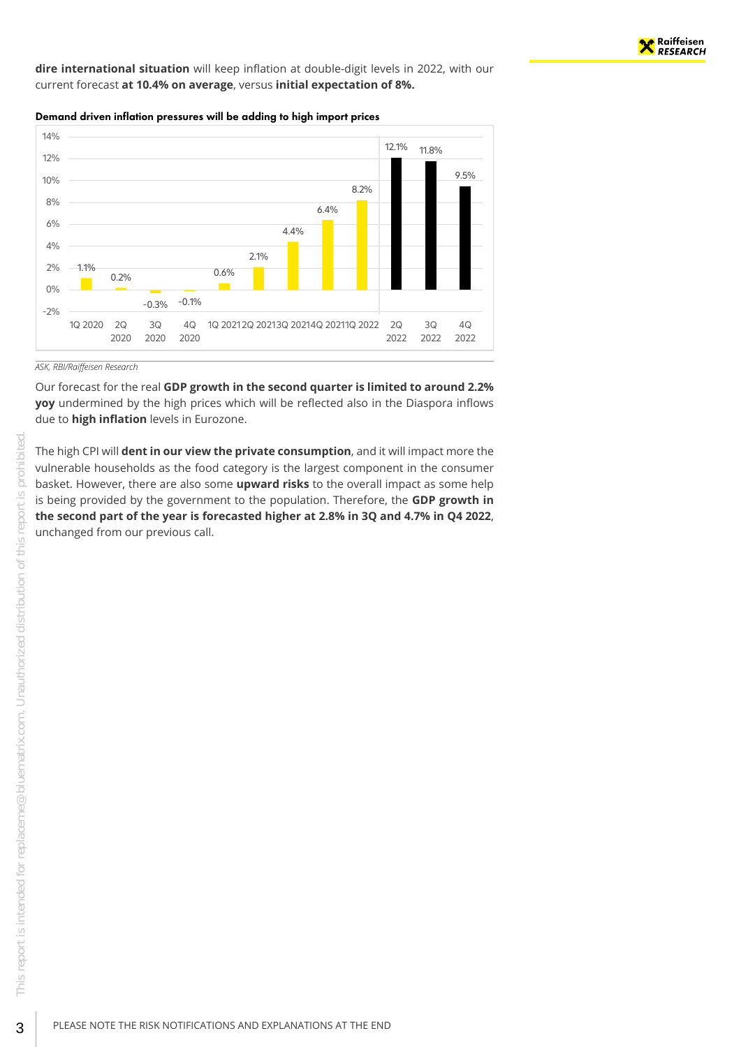

**dire international situation** will keep inflation at double-digit levels in 2022, with our current forecast **at 10.4% on average**, versus **initial expectation of 8%.**

Demand driven inflation pressures will be adding to high import prices



#### *ASK, RBI/Raiffeisen Research*

Our forecast for the real **GDP growth in the second quarter is limited to around 2.2% yoy** undermined by the high prices which will be reflected also in the Diaspora inflows due to **high inflation** levels in Eurozone.

The high CPI will **dent in our view the private consumption**, and it will impact more the vulnerable households as the food category is the largest component in the consumer basket. However, there are also some **upward risks** to the overall impact as some help is being provided by the government to the population. Therefore, the **GDP growth in the second part of the year is forecasted higher at 2.8% in 3Q and 4.7% in Q4 2022**, unchanged from our previous call.

3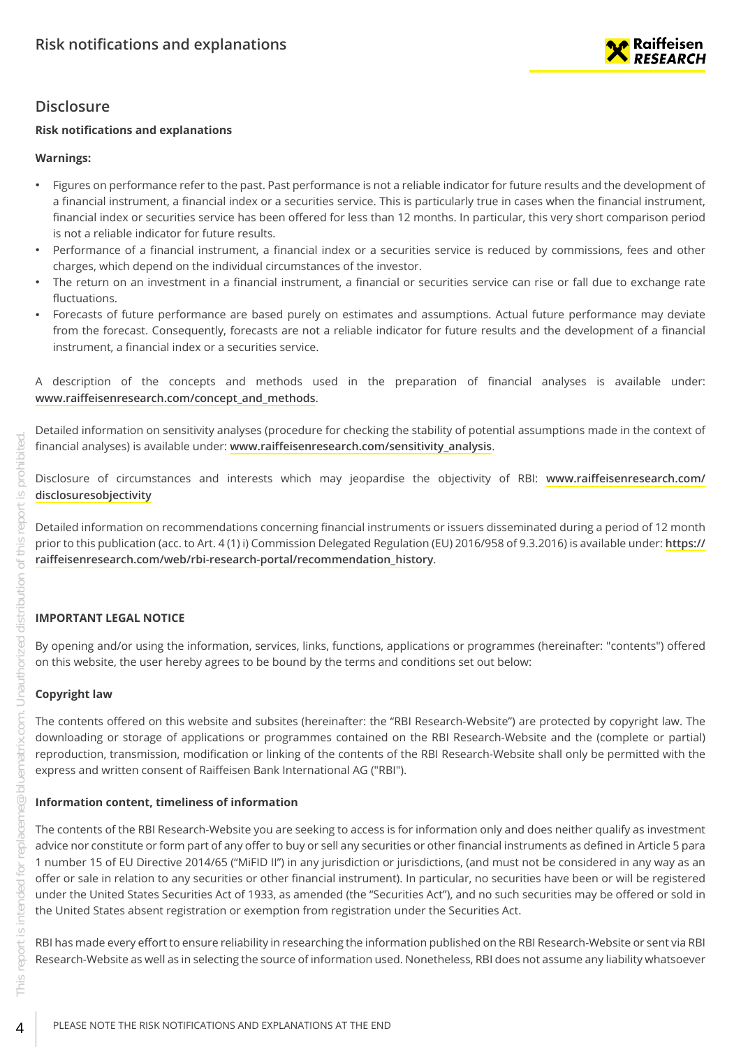

## <span id="page-3-0"></span>**Disclosure**

#### **Risk notifications and explanations**

#### **Warnings:**

- Figures on performance refer to the past. Past performance is not a reliable indicator for future results and the development of a financial instrument, a financial index or a securities service. This is particularly true in cases when the financial instrument, financial index or securities service has been offered for less than 12 months. In particular, this very short comparison period is not a reliable indicator for future results.
- Performance of a financial instrument, a financial index or a securities service is reduced by commissions, fees and other charges, which depend on the individual circumstances of the investor.
- The return on an investment in a financial instrument, a financial or securities service can rise or fall due to exchange rate fluctuations.
- Forecasts of future performance are based purely on estimates and assumptions. Actual future performance may deviate from the forecast. Consequently, forecasts are not a reliable indicator for future results and the development of a financial instrument, a financial index or a securities service.
- A description of the concepts and methods used in the preparation of financial analyses is available under: **[www.raiffeisenresearch.com/concept\\_and\\_methods](https://www.raiffeisenresearch.com/concept_and_methods)**.

Detailed information on sensitivity analyses (procedure for checking the stability of potential assumptions made in the context of financial analyses) is available under: **[www.raiffeisenresearch.com/sensitivity\\_analysis](https://www.raiffeisenresearch.com/sensitivity_analysis)**.

Disclosure of circumstances and interests which may jeopardise the objectivity of RBI: **[www.raiffeisenresearch.com/](https://www.raiffeisenresearch.com/disclosuresobjectivity) [disclosuresobjectivity](https://www.raiffeisenresearch.com/disclosuresobjectivity)**

Detailed information on recommendations concerning financial instruments or issuers disseminated during a period of 12 month prior to this publication (acc. to Art. 4 (1) i) Commission Delegated Regulation (EU) 2016/958 of 9.3.2016) is available under: **[https://](https://raiffeisenresearch.com/web/rbi-research-portal/recommendation_history) [raiffeisenresearch.com/web/rbi-research-portal/recommendation\\_history](https://raiffeisenresearch.com/web/rbi-research-portal/recommendation_history)**.

### **IMPORTANT LEGAL NOTICE**

By opening and/or using the information, services, links, functions, applications or programmes (hereinafter: "contents") offered on this website, the user hereby agrees to be bound by the terms and conditions set out below:

### **Copyright law**

The contents offered on this website and subsites (hereinafter: the "RBI Research-Website") are protected by copyright law. The downloading or storage of applications or programmes contained on the RBI Research-Website and the (complete or partial) reproduction, transmission, modification or linking of the contents of the RBI Research-Website shall only be permitted with the express and written consent of Raiffeisen Bank International AG ("RBI").

### **Information content, timeliness of information**

The contents of the RBI Research-Website you are seeking to access is for information only and does neither qualify as investment advice nor constitute or form part of any offer to buy or sell any securities or other financial instruments as defined in Article 5 para 1 number 15 of EU Directive 2014/65 ("MiFID II") in any jurisdiction or jurisdictions, (and must not be considered in any way as an offer or sale in relation to any securities or other financial instrument). In particular, no securities have been or will be registered under the United States Securities Act of 1933, as amended (the "Securities Act"), and no such securities may be offered or sold in the United States absent registration or exemption from registration under the Securities Act.

RBI has made every effort to ensure reliability in researching the information published on the RBI Research-Website or sent via RBI Research-Website as well as in selecting the source of information used. Nonetheless, RBI does not assume any liability whatsoever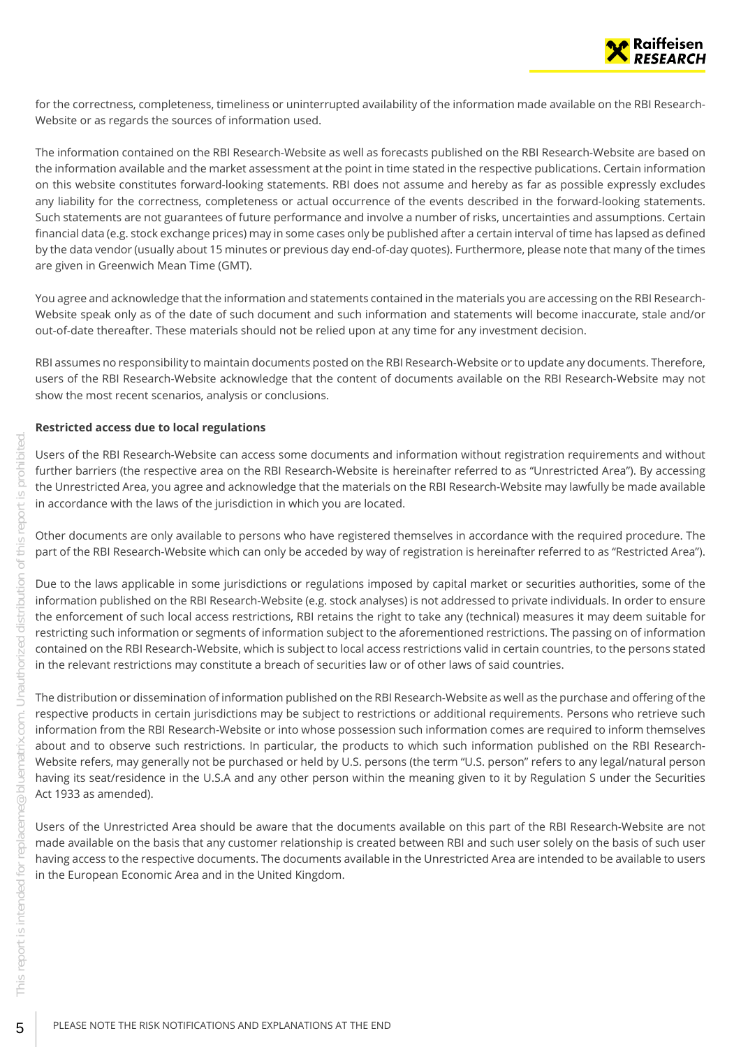

for the correctness, completeness, timeliness or uninterrupted availability of the information made available on the RBI Research-Website or as regards the sources of information used.

The information contained on the RBI Research-Website as well as forecasts published on the RBI Research-Website are based on the information available and the market assessment at the point in time stated in the respective publications. Certain information on this website constitutes forward-looking statements. RBI does not assume and hereby as far as possible expressly excludes any liability for the correctness, completeness or actual occurrence of the events described in the forward-looking statements. Such statements are not guarantees of future performance and involve a number of risks, uncertainties and assumptions. Certain financial data (e.g. stock exchange prices) may in some cases only be published after a certain interval of time has lapsed as defined by the data vendor (usually about 15 minutes or previous day end-of-day quotes). Furthermore, please note that many of the times are given in Greenwich Mean Time (GMT).

You agree and acknowledge that the information and statements contained in the materials you are accessing on the RBI Research-Website speak only as of the date of such document and such information and statements will become inaccurate, stale and/or out-of-date thereafter. These materials should not be relied upon at any time for any investment decision.

RBI assumes no responsibility to maintain documents posted on the RBI Research-Website or to update any documents. Therefore, users of the RBI Research-Website acknowledge that the content of documents available on the RBI Research-Website may not show the most recent scenarios, analysis or conclusions.

#### **Restricted access due to local regulations**

Users of the RBI Research-Website can access some documents and information without registration requirements and without further barriers (the respective area on the RBI Research-Website is hereinafter referred to as "Unrestricted Area"). By accessing the Unrestricted Area, you agree and acknowledge that the materials on the RBI Research-Website may lawfully be made available in accordance with the laws of the jurisdiction in which you are located.

Other documents are only available to persons who have registered themselves in accordance with the required procedure. The part of the RBI Research-Website which can only be acceded by way of registration is hereinafter referred to as "Restricted Area").

Due to the laws applicable in some jurisdictions or regulations imposed by capital market or securities authorities, some of the information published on the RBI Research-Website (e.g. stock analyses) is not addressed to private individuals. In order to ensure the enforcement of such local access restrictions, RBI retains the right to take any (technical) measures it may deem suitable for restricting such information or segments of information subject to the aforementioned restrictions. The passing on of information contained on the RBI Research-Website, which is subject to local access restrictions valid in certain countries, to the persons stated in the relevant restrictions may constitute a breach of securities law or of other laws of said countries.

The distribution or dissemination of information published on the RBI Research-Website as well as the purchase and offering of the respective products in certain jurisdictions may be subject to restrictions or additional requirements. Persons who retrieve such information from the RBI Research-Website or into whose possession such information comes are required to inform themselves about and to observe such restrictions. In particular, the products to which such information published on the RBI Research-Website refers, may generally not be purchased or held by U.S. persons (the term "U.S. person" refers to any legal/natural person having its seat/residence in the U.S.A and any other person within the meaning given to it by Regulation S under the Securities Act 1933 as amended).

Users of the Unrestricted Area should be aware that the documents available on this part of the RBI Research-Website are not made available on the basis that any customer relationship is created between RBI and such user solely on the basis of such user having access to the respective documents. The documents available in the Unrestricted Area are intended to be available to users in the European Economic Area and in the United Kingdom.

5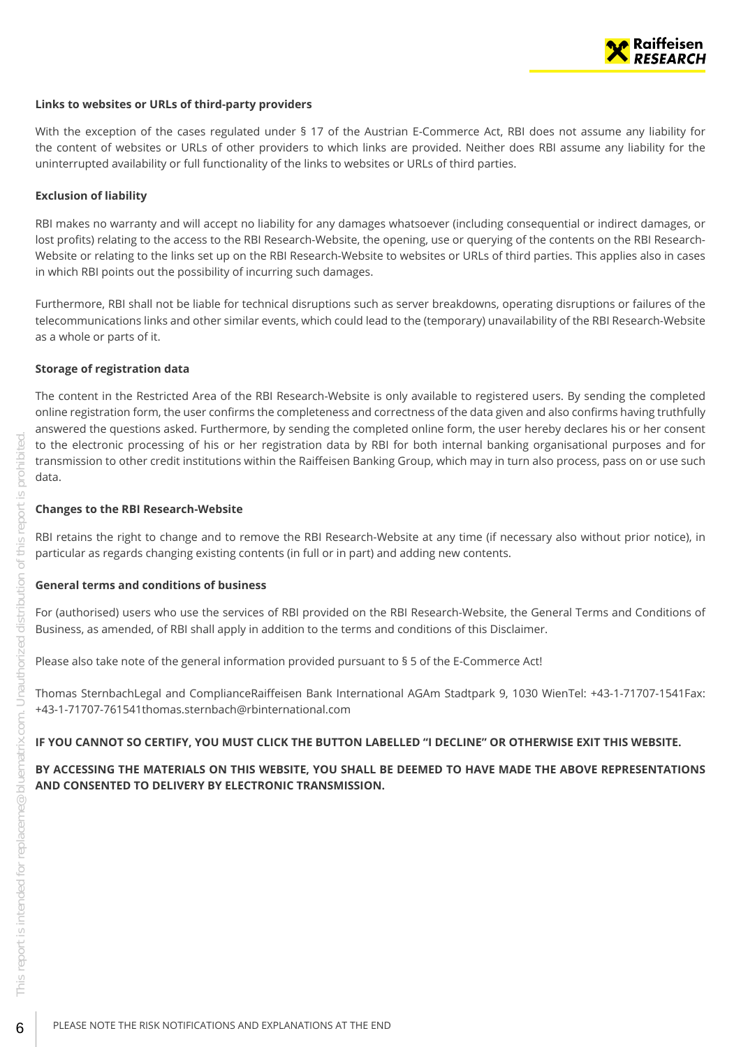

#### **Links to websites or URLs of third-party providers**

With the exception of the cases regulated under § 17 of the Austrian E-Commerce Act, RBI does not assume any liability for the content of websites or URLs of other providers to which links are provided. Neither does RBI assume any liability for the uninterrupted availability or full functionality of the links to websites or URLs of third parties.

#### **Exclusion of liability**

RBI makes no warranty and will accept no liability for any damages whatsoever (including consequential or indirect damages, or lost profits) relating to the access to the RBI Research-Website, the opening, use or querying of the contents on the RBI Research-Website or relating to the links set up on the RBI Research-Website to websites or URLs of third parties. This applies also in cases in which RBI points out the possibility of incurring such damages.

Furthermore, RBI shall not be liable for technical disruptions such as server breakdowns, operating disruptions or failures of the telecommunications links and other similar events, which could lead to the (temporary) unavailability of the RBI Research-Website as a whole or parts of it.

#### **Storage of registration data**

The content in the Restricted Area of the RBI Research-Website is only available to registered users. By sending the completed online registration form, the user confirms the completeness and correctness of the data given and also confirms having truthfully answered the questions asked. Furthermore, by sending the completed online form, the user hereby declares his or her consent to the electronic processing of his or her registration data by RBI for both internal banking organisational purposes and for transmission to other credit institutions within the Raiffeisen Banking Group, which may in turn also process, pass on or use such data.

#### **Changes to the RBI Research-Website**

RBI retains the right to change and to remove the RBI Research-Website at any time (if necessary also without prior notice), in particular as regards changing existing contents (in full or in part) and adding new contents.

#### **General terms and conditions of business**

For (authorised) users who use the services of RBI provided on the RBI Research-Website, the General Terms and Conditions of Business, as amended, of RBI shall apply in addition to the terms and conditions of this Disclaimer.

Please also take note of the general information provided pursuant to § 5 of the E-Commerce Act!

Thomas SternbachLegal and ComplianceRaiffeisen Bank International AGAm Stadtpark 9, 1030 WienTel: +43-1-71707-1541Fax: +43-1-71707-761541thomas.sternbach@rbinternational.com

#### **IF YOU CANNOT SO CERTIFY, YOU MUST CLICK THE BUTTON LABELLED "I DECLINE" OR OTHERWISE EXIT THIS WEBSITE.**

**BY ACCESSING THE MATERIALS ON THIS WEBSITE, YOU SHALL BE DEEMED TO HAVE MADE THE ABOVE REPRESENTATIONS AND CONSENTED TO DELIVERY BY ELECTRONIC TRANSMISSION.**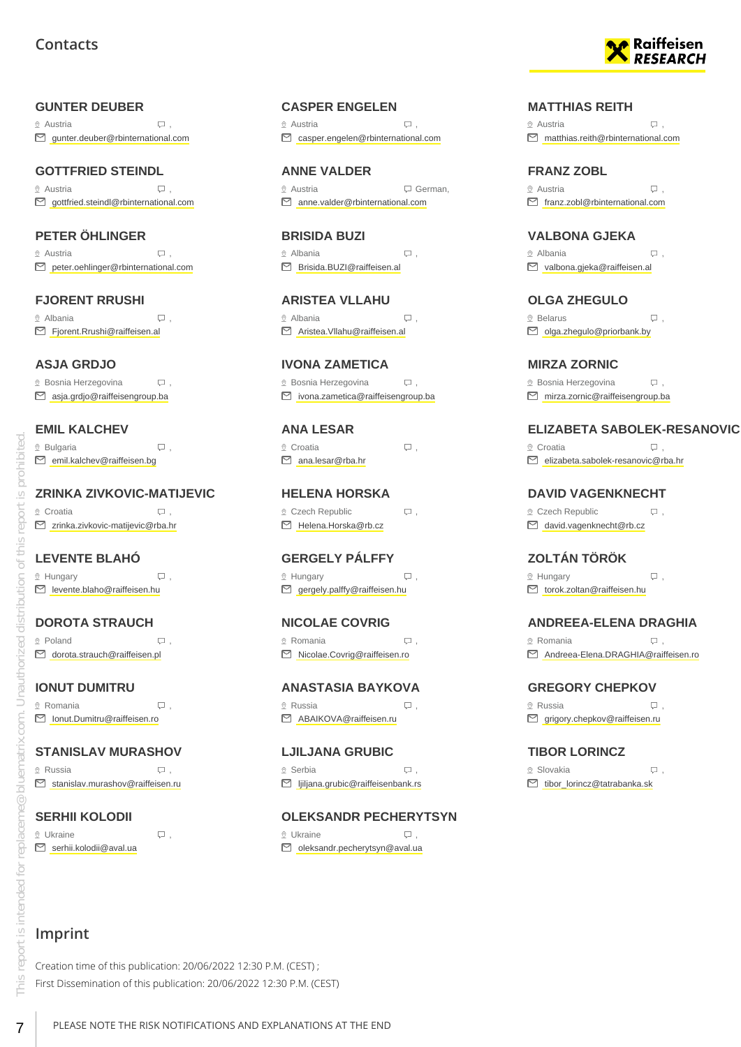#### <span id="page-6-0"></span>**GUNTER DEUBER**

 $\Omega$  Austria  $\Box$ gunter.deuber@rbinternational.com

### **GOTTFRIED STEINDL**

 Austria , ■ gottfried.steindl@rbinternational.com

#### **PETER ÖHLINGER**

 Austria , peter.oehlinger@rbinternational.com

## **FJORENT RRUSHI**

 $\Omega$  Albania  $\Box$ , Fjorent.Rrushi@raiffeisen.al

#### **ASJA GRDJO**

 $\Omega$  Bosnia Herzegovina  $\Box$ , asja.grdjo@raiffeisengroup.ba

#### **EMIL KALCHEV**

| $Q$ Bulgaria                      |  |
|-----------------------------------|--|
| $\Box$ emil.kalchev@raiffeisen.bg |  |

#### **ZRINKA ZIVKOVIC-MATIJEVIC**

® Croatia , Q zrinka.zivkovic-matijevic@rba.hr

#### **LEVENTE BLAHÓ**

 $\mathcal{Q}$  Hungary  $\qquad \qquad \Box$ levente.blaho@raiffeisen.hu

#### **DOROTA STRAUCH**

 $\mathcal{Q}$  Poland  $\Box$ □ dorota.strauch@raiffeisen.pl

#### **IONUT DUMITRU**

 $\Omega$  Romania  $\Box$ , Ionut.Dumitru@raiffeisen.ro

#### **STANISLAV MURASHOV**

 $\circ$  Russia  $\Box$ . Stanislav.murashov@raiffeisen.ru

### **SERHII KOLODII**

 $\mathbb Q$  Ukraine  $\Box$ , S serhii.kolodii@aval.ua

## **CASPER ENGELEN**

 $\Omega$  Austria  $\Box$ , casper.engelen@rbinternational.com

**ANNE VALDER** <sup>®</sup> Austria <del>German</del> anne.valder@rbinternational.com

**BRISIDA BUZI** Albania , Brisida.BUZI@raiffeisen.al

**ARISTEA VLLAHU**  $\Omega$  Albania  $\Box$ Aristea.Vllahu@raiffeisen.al

## **IVONA ZAMETICA**

 $\Omega$  Bosnia Herzegovina  $\Box$ , ivona.zametica@raiffeisengroup.ba

**ANA LESAR**

 $\circledcirc$  Croatia  $\qquad \qquad \Box$ ana.lesar@rba.hr

**HELENA HORSKA**  $Q$  Czech Republic  $Q$ , Helena.Horska@rb.cz

**GERGELY PÁLFFY**  $\mathcal{Q}$  Hungary  $\qquad \qquad \Box$ 

**NICOLAE COVRIG**  $\circ$  Romania  $\qquad \qquad \Box$ 

#### **ANASTASIA BAYKOVA**  $\circ$  Russia ,  $\Box$

ABAIKOVA@raiffeisen.ru

**LJILJANA GRUBIC** ® Serbia , Question , Question , Question , Question , Question , Question , Question , Question , Question , Question , Question , Question , Question , Question , Question , Question , Question , Question , Question , Q ljiljana.grubic@raiffeisenbank.rs

#### **OLEKSANDR PECHERYTSYN**

 Ukraine , oleksandr.pecherytsyn@aval.ua



#### **MATTHIAS REITH**

 $\circ$  Austria  $\Box$  $\Box$  matthias.reith@rbinternational.com

# **FRANZ ZOBL**

 $\circ$  Austria  $\Box$ franz.zobl@rbinternational.com

**VALBONA GJEKA** Albania ,

valbona.gjeka@raiffeisen.al

### **OLGA ZHEGULO**

 $\Omega$  Belarus  $\Box$ , olga.zhegulo@priorbank.by

### **MIRZA ZORNIC**

 $\Omega$  Bosnia Herzegovina  $\Box$ , mirza.zornic@raiffeisengroup.ba

#### **ELIZABETA SABOLEK-RESANOVIC**

® Croatia , D elizabeta.sabolek-resanovic@rba.hr

**DAVID VAGENKNECHT**  $Q$  Czech Republic  $Q$ ,

david.vagenknecht@rb.cz

**ZOLTÁN TÖRÖK**

 $\mathcal{Q}$  Hungary  $\qquad \qquad \Box$ torok.zoltan@raiffeisen.hu

#### **ANDREEA-ELENA DRAGHIA**

© Romania , Q . Andreea-Elena.DRAGHIA@raiffeisen.ro

#### **GREGORY CHEPKOV**

 $\circ$  Russia  $\Box$ ■ grigory.chepkov@raiffeisen.ru

#### **TIBOR LORINCZ**

® Slovakia , Q . ■ tibor\_lorincz@tatrabanka.sk

Creation time of this publication: 20/06/2022 12:30 P.M. (CEST) ; First Dissemination of this publication: 20/06/2022 12:30 P.M. (CEST)

This report is intended for replaceme@bluematrix.com. Unauthorized distribution of this report is prohibited.

iom.

 $\infty$  biluematrix

replaceme

This report is intended for

Unauthorized

prohibited

 $\overline{C}$ eport

this ď  $\subseteq$ 

# gergely.palffy@raiffeisen.hu

Nicolae.Covrig@raiffeisen.ro